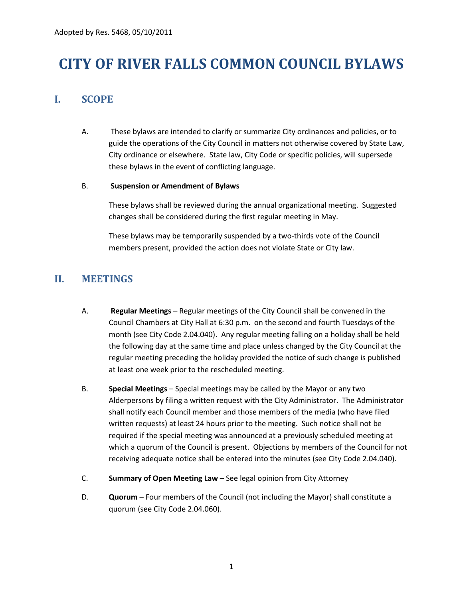# **CITY OF RIVER FALLS COMMON COUNCIL BYLAWS**

# **I. SCOPE**

A. These bylaws are intended to clarify or summarize City ordinances and policies, or to guide the operations of the City Council in matters not otherwise covered by State Law, City ordinance or elsewhere. State law, City Code or specific policies, will supersede these bylaws in the event of conflicting language.

#### B. **Suspension or Amendment of Bylaws**

These bylaws shall be reviewed during the annual organizational meeting. Suggested changes shall be considered during the first regular meeting in May.

These bylaws may be temporarily suspended by a two-thirds vote of the Council members present, provided the action does not violate State or City law.

### **II. MEETINGS**

- A. **Regular Meetings** Regular meetings of the City Council shall be convened in the Council Chambers at City Hall at 6:30 p.m. on the second and fourth Tuesdays of the month (see City Code 2.04.040). Any regular meeting falling on a holiday shall be held the following day at the same time and place unless changed by the City Council at the regular meeting preceding the holiday provided the notice of such change is published at least one week prior to the rescheduled meeting.
- B. **Special Meetings** Special meetings may be called by the Mayor or any two Alderpersons by filing a written request with the City Administrator. The Administrator shall notify each Council member and those members of the media (who have filed written requests) at least 24 hours prior to the meeting. Such notice shall not be required if the special meeting was announced at a previously scheduled meeting at which a quorum of the Council is present. Objections by members of the Council for not receiving adequate notice shall be entered into the minutes (see City Code 2.04.040).
- C. **Summary of Open Meeting Law** See legal opinion from City Attorney
- D. **Quorum** Four members of the Council (not including the Mayor) shall constitute a quorum (see City Code 2.04.060).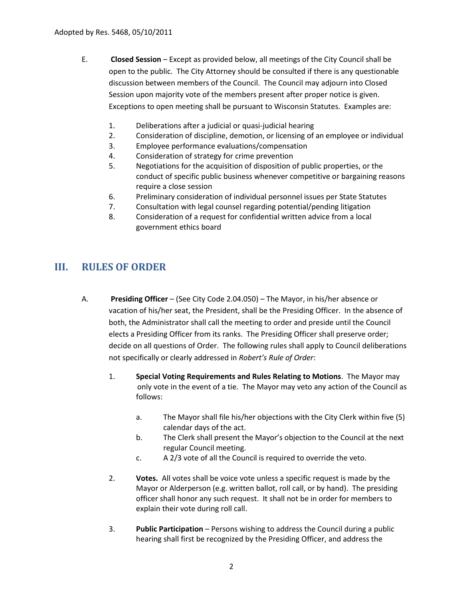- E. **Closed Session** Except as provided below, all meetings of the City Council shall be open to the public. The City Attorney should be consulted if there is any questionable discussion between members of the Council. The Council may adjourn into Closed Session upon majority vote of the members present after proper notice is given. Exceptions to open meeting shall be pursuant to Wisconsin Statutes. Examples are:
	- 1. Deliberations after a judicial or quasi-judicial hearing
	- 2. Consideration of discipline, demotion, or licensing of an employee or individual
	- 3. Employee performance evaluations/compensation
	- 4. Consideration of strategy for crime prevention
	- 5. Negotiations for the acquisition of disposition of public properties, or the conduct of specific public business whenever competitive or bargaining reasons require a close session
	- 6. Preliminary consideration of individual personnel issues per State Statutes
	- 7. Consultation with legal counsel regarding potential/pending litigation
	- 8. Consideration of a request for confidential written advice from a local government ethics board

### **III. RULES OF ORDER**

- A. **Presiding Officer** (See City Code 2.04.050) The Mayor, in his/her absence or vacation of his/her seat, the President, shall be the Presiding Officer. In the absence of both, the Administrator shall call the meeting to order and preside until the Council elects a Presiding Officer from its ranks. The Presiding Officer shall preserve order; decide on all questions of Order. The following rules shall apply to Council deliberations not specifically or clearly addressed in *Robert's Rule of Order*:
	- 1. **Special Voting Requirements and Rules Relating to Motions**. The Mayor may only vote in the event of a tie. The Mayor may veto any action of the Council as follows:
		- a. The Mayor shall file his/her objections with the City Clerk within five (5) calendar days of the act.
		- b. The Clerk shall present the Mayor's objection to the Council at the next regular Council meeting.
		- c. A 2/3 vote of all the Council is required to override the veto.
	- 2. **Votes.** All votes shall be voice vote unless a specific request is made by the Mayor or Alderperson (e.g. written ballot, roll call, or by hand). The presiding officer shall honor any such request. It shall not be in order for members to explain their vote during roll call.
	- 3. **Public Participation** Persons wishing to address the Council during a public hearing shall first be recognized by the Presiding Officer, and address the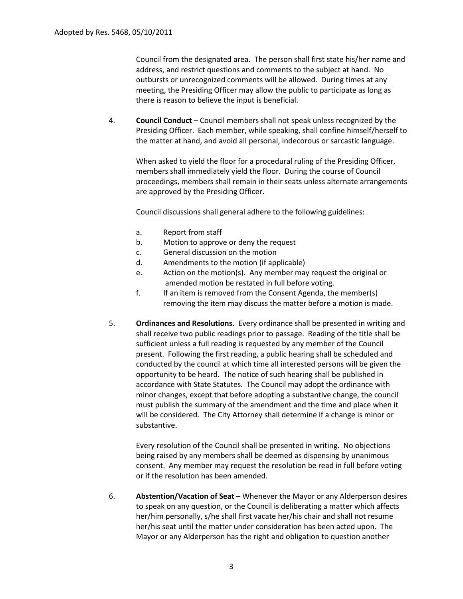Council from the designated area. The person shall first state his/her name and address, and restrict questions and comments to the subject at hand. No outbursts or unrecognized comments will be allowed. During times at any meeting, the Presiding Officer may allow the public to participate as long as there is reason to believe the input is beneficial.

4. **Council Conduct** – Council members shall not speak unless recognized by the Presiding Officer. Each member, while speaking, shall confine himself/herself to the matter at hand, and avoid all personal, indecorous or sarcastic language.

When asked to yield the floor for a procedural ruling of the Presiding Officer, members shall immediately yield the floor. During the course of Council proceedings, members shall remain in their seats unless alternate arrangements are approved by the Presiding Officer.

Council discussions shall general adhere to the following guidelines:

- a. Report from staff
- b. Motion to approve or deny the request
- c. General discussion on the motion
- d. Amendments to the motion (if applicable)
- e. Action on the motion(s). Any member may request the original or amended motion be restated in full before voting.
- f. If an item is removed from the Consent Agenda, the member(s) removing the item may discuss the matter before a motion is made.
- 5. **Ordinances and Resolutions.** Every ordinance shall be presented in writing and shall receive two public readings prior to passage. Reading of the title shall be sufficient unless a full reading is requested by any member of the Council present. Following the first reading, a public hearing shall be scheduled and conducted by the council at which time all interested persons will be given the opportunity to be heard. The notice of such hearing shall be published in accordance with State Statutes. The Council may adopt the ordinance with minor changes, except that before adopting a substantive change, the council must publish the summary of the amendment and the time and place when it will be considered. The City Attorney shall determine if a change is minor or substantive.

Every resolution of the Council shall be presented in writing. No objections being raised by any members shall be deemed as dispensing by unanimous consent. Any member may request the resolution be read in full before voting or if the resolution has been amended.

6. **Abstention/Vacation of Seat** – Whenever the Mayor or any Alderperson desires to speak on any question, or the Council is deliberating a matter which affects her/him personally, s/he shall first vacate her/his chair and shall not resume her/his seat until the matter under consideration has been acted upon. The Mayor or any Alderperson has the right and obligation to question another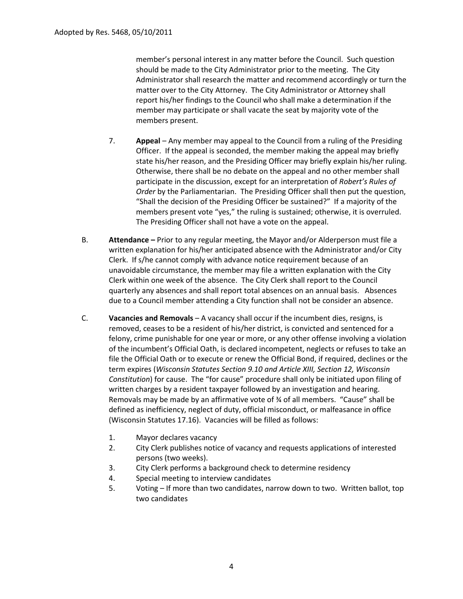member's personal interest in any matter before the Council. Such question should be made to the City Administrator prior to the meeting. The City Administrator shall research the matter and recommend accordingly or turn the matter over to the City Attorney. The City Administrator or Attorney shall report his/her findings to the Council who shall make a determination if the member may participate or shall vacate the seat by majority vote of the members present.

- 7. **Appeal**  Any member may appeal to the Council from a ruling of the Presiding Officer. If the appeal is seconded, the member making the appeal may briefly state his/her reason, and the Presiding Officer may briefly explain his/her ruling. Otherwise, there shall be no debate on the appeal and no other member shall participate in the discussion, except for an interpretation of *Robert's Rules of Order* by the Parliamentarian. The Presiding Officer shall then put the question, "Shall the decision of the Presiding Officer be sustained?" If a majority of the members present vote "yes," the ruling is sustained; otherwise, it is overruled. The Presiding Officer shall not have a vote on the appeal.
- B. **Attendance –** Prior to any regular meeting, the Mayor and/or Alderperson must file a written explanation for his/her anticipated absence with the Administrator and/or City Clerk. If s/he cannot comply with advance notice requirement because of an unavoidable circumstance, the member may file a written explanation with the City Clerk within one week of the absence. The City Clerk shall report to the Council quarterly any absences and shall report total absences on an annual basis. Absences due to a Council member attending a City function shall not be consider an absence.
- C. **Vacancies and Removals** A vacancy shall occur if the incumbent dies, resigns, is removed, ceases to be a resident of his/her district, is convicted and sentenced for a felony, crime punishable for one year or more, or any other offense involving a violation of the incumbent's Official Oath, is declared incompetent, neglects or refuses to take an file the Official Oath or to execute or renew the Official Bond, if required, declines or the term expires (*Wisconsin Statutes Section 9.10 and Article XIII, Section 12, Wisconsin Constitution*) for cause. The "for cause" procedure shall only be initiated upon filing of written charges by a resident taxpayer followed by an investigation and hearing. Removals may be made by an affirmative vote of  $\frac{3}{4}$  of all members. "Cause" shall be defined as inefficiency, neglect of duty, official misconduct, or malfeasance in office (Wisconsin Statutes 17.16). Vacancies will be filled as follows:
	- 1. Mayor declares vacancy
	- 2. City Clerk publishes notice of vacancy and requests applications of interested persons (two weeks).
	- 3. City Clerk performs a background check to determine residency
	- 4. Special meeting to interview candidates
	- 5. Voting If more than two candidates, narrow down to two. Written ballot, top two candidates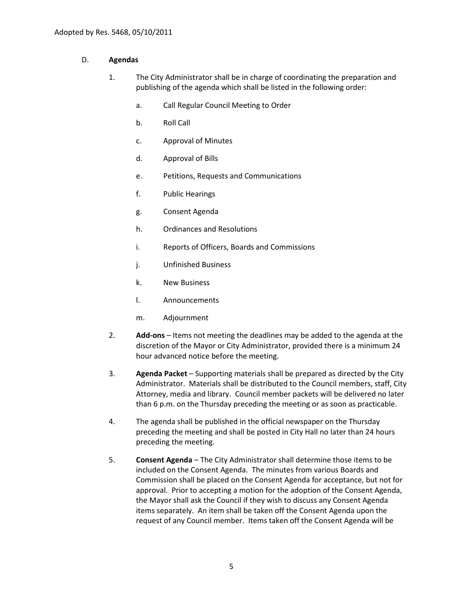#### D. **Agendas**

- 1. The City Administrator shall be in charge of coordinating the preparation and publishing of the agenda which shall be listed in the following order:
	- a. Call Regular Council Meeting to Order
	- b. Roll Call
	- c. Approval of Minutes
	- d. Approval of Bills
	- e. Petitions, Requests and Communications
	- f. Public Hearings
	- g. Consent Agenda
	- h. Ordinances and Resolutions
	- i. Reports of Officers, Boards and Commissions
	- j. Unfinished Business
	- k. New Business
	- l. Announcements
	- m. Adjournment
- 2. **Add-ons** Items not meeting the deadlines may be added to the agenda at the discretion of the Mayor or City Administrator, provided there is a minimum 24 hour advanced notice before the meeting.
- 3. **Agenda Packet** Supporting materials shall be prepared as directed by the City Administrator. Materials shall be distributed to the Council members, staff, City Attorney, media and library. Council member packets will be delivered no later than 6 p.m. on the Thursday preceding the meeting or as soon as practicable.
- 4. The agenda shall be published in the official newspaper on the Thursday preceding the meeting and shall be posted in City Hall no later than 24 hours preceding the meeting.
- 5. **Consent Agenda** The City Administrator shall determine those items to be included on the Consent Agenda. The minutes from various Boards and Commission shall be placed on the Consent Agenda for acceptance, but not for approval. Prior to accepting a motion for the adoption of the Consent Agenda, the Mayor shall ask the Council if they wish to discuss any Consent Agenda items separately. An item shall be taken off the Consent Agenda upon the request of any Council member. Items taken off the Consent Agenda will be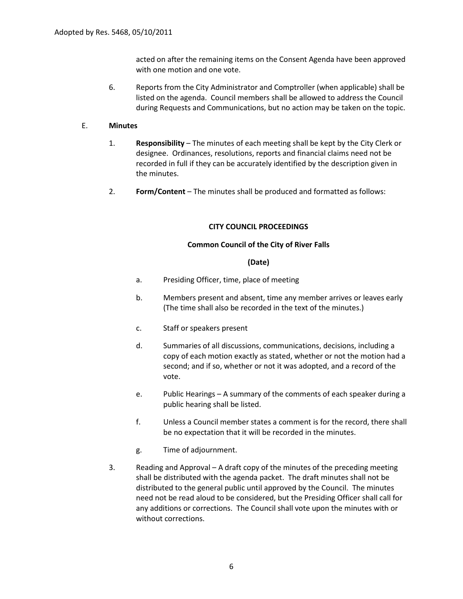acted on after the remaining items on the Consent Agenda have been approved with one motion and one vote.

6. Reports from the City Administrator and Comptroller (when applicable) shall be listed on the agenda. Council members shall be allowed to address the Council during Requests and Communications, but no action may be taken on the topic.

#### E. **Minutes**

- 1. **Responsibility** The minutes of each meeting shall be kept by the City Clerk or designee. Ordinances, resolutions, reports and financial claims need not be recorded in full if they can be accurately identified by the description given in the minutes.
- 2. **Form/Content** The minutes shall be produced and formatted as follows:

#### **CITY COUNCIL PROCEEDINGS**

#### **Common Council of the City of River Falls**

#### **(Date)**

- a. Presiding Officer, time, place of meeting
- b. Members present and absent, time any member arrives or leaves early (The time shall also be recorded in the text of the minutes.)
- c. Staff or speakers present
- d. Summaries of all discussions, communications, decisions, including a copy of each motion exactly as stated, whether or not the motion had a second; and if so, whether or not it was adopted, and a record of the vote.
- e. Public Hearings A summary of the comments of each speaker during a public hearing shall be listed.
- f. Unless a Council member states a comment is for the record, there shall be no expectation that it will be recorded in the minutes.
- g. Time of adjournment.
- 3. Reading and Approval A draft copy of the minutes of the preceding meeting shall be distributed with the agenda packet. The draft minutes shall not be distributed to the general public until approved by the Council. The minutes need not be read aloud to be considered, but the Presiding Officer shall call for any additions or corrections. The Council shall vote upon the minutes with or without corrections.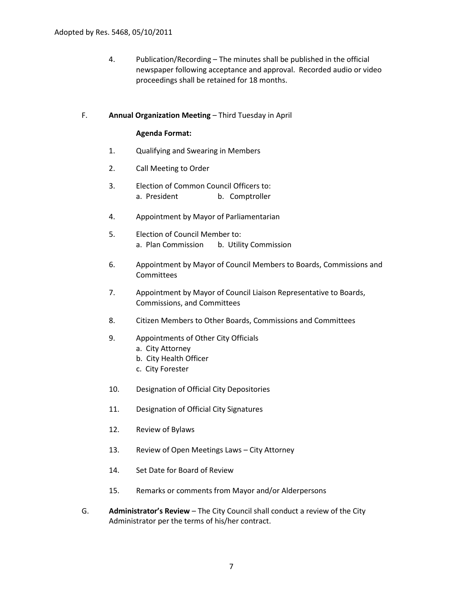4. Publication/Recording – The minutes shall be published in the official newspaper following acceptance and approval. Recorded audio or video proceedings shall be retained for 18 months.

#### F. **Annual Organization Meeting** – Third Tuesday in April

#### **Agenda Format:**

- 1. Qualifying and Swearing in Members
- 2. Call Meeting to Order
- 3. Election of Common Council Officers to: a. President b. Comptroller
- 4. Appointment by Mayor of Parliamentarian
- 5. Election of Council Member to: a. Plan Commission b. Utility Commission
- 6. Appointment by Mayor of Council Members to Boards, Commissions and Committees
- 7. Appointment by Mayor of Council Liaison Representative to Boards, Commissions, and Committees
- 8. Citizen Members to Other Boards, Commissions and Committees
- 9. Appointments of Other City Officials
	- a. City Attorney
	- b. City Health Officer
	- c. City Forester
- 10. Designation of Official City Depositories
- 11. Designation of Official City Signatures
- 12. Review of Bylaws
- 13. Review of Open Meetings Laws City Attorney
- 14. Set Date for Board of Review
- 15. Remarks or comments from Mayor and/or Alderpersons
- G. **Administrator's Review** The City Council shall conduct a review of the City Administrator per the terms of his/her contract.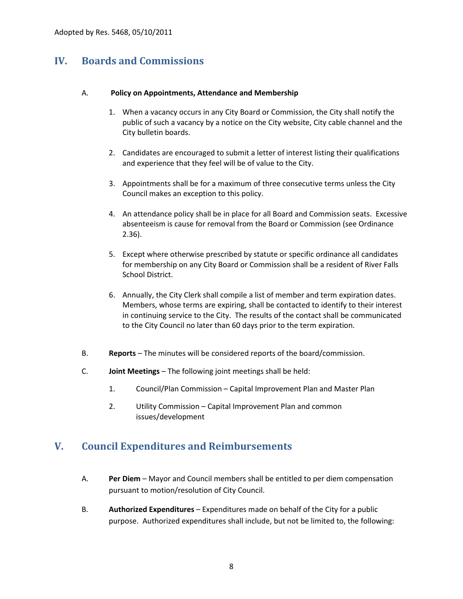# **IV. Boards and Commissions**

#### A. **Policy on Appointments, Attendance and Membership**

- 1. When a vacancy occurs in any City Board or Commission, the City shall notify the public of such a vacancy by a notice on the City website, City cable channel and the City bulletin boards.
- 2. Candidates are encouraged to submit a letter of interest listing their qualifications and experience that they feel will be of value to the City.
- 3. Appointments shall be for a maximum of three consecutive terms unless the City Council makes an exception to this policy.
- 4. An attendance policy shall be in place for all Board and Commission seats. Excessive absenteeism is cause for removal from the Board or Commission (see Ordinance 2.36).
- 5. Except where otherwise prescribed by statute or specific ordinance all candidates for membership on any City Board or Commission shall be a resident of River Falls School District.
- 6. Annually, the City Clerk shall compile a list of member and term expiration dates. Members, whose terms are expiring, shall be contacted to identify to their interest in continuing service to the City. The results of the contact shall be communicated to the City Council no later than 60 days prior to the term expiration.
- B. **Reports** The minutes will be considered reports of the board/commission.
- C. **Joint Meetings** The following joint meetings shall be held:
	- 1. Council/Plan Commission Capital Improvement Plan and Master Plan
	- 2. Utility Commission Capital Improvement Plan and common issues/development

## **V. Council Expenditures and Reimbursements**

- A. **Per Diem** Mayor and Council members shall be entitled to per diem compensation pursuant to motion/resolution of City Council.
- B. **Authorized Expenditures** Expenditures made on behalf of the City for a public purpose. Authorized expenditures shall include, but not be limited to, the following: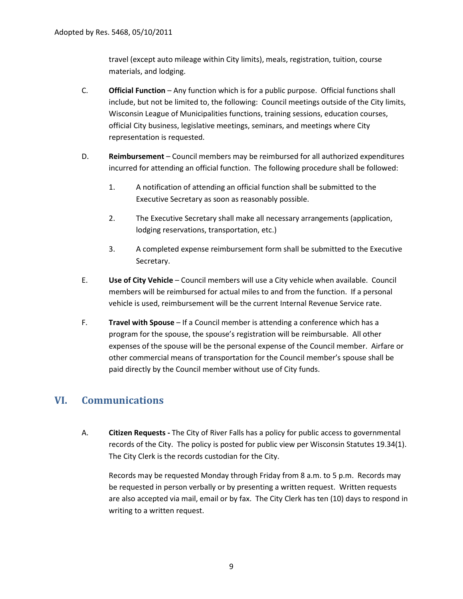travel (except auto mileage within City limits), meals, registration, tuition, course materials, and lodging.

- C. **Official Function** Any function which is for a public purpose. Official functions shall include, but not be limited to, the following: Council meetings outside of the City limits, Wisconsin League of Municipalities functions, training sessions, education courses, official City business, legislative meetings, seminars, and meetings where City representation is requested.
- D. **Reimbursement** Council members may be reimbursed for all authorized expenditures incurred for attending an official function. The following procedure shall be followed:
	- 1. A notification of attending an official function shall be submitted to the Executive Secretary as soon as reasonably possible.
	- 2. The Executive Secretary shall make all necessary arrangements (application, lodging reservations, transportation, etc.)
	- 3. A completed expense reimbursement form shall be submitted to the Executive Secretary.
- E. **Use of City Vehicle** Council members will use a City vehicle when available. Council members will be reimbursed for actual miles to and from the function. If a personal vehicle is used, reimbursement will be the current Internal Revenue Service rate.
- F. **Travel with Spouse** If a Council member is attending a conference which has a program for the spouse, the spouse's registration will be reimbursable. All other expenses of the spouse will be the personal expense of the Council member. Airfare or other commercial means of transportation for the Council member's spouse shall be paid directly by the Council member without use of City funds.

# **VI. Communications**

A. **Citizen Requests -** The City of River Falls has a policy for public access to governmental records of the City. The policy is posted for public view per Wisconsin Statutes 19.34(1). The City Clerk is the records custodian for the City.

Records may be requested Monday through Friday from 8 a.m. to 5 p.m. Records may be requested in person verbally or by presenting a written request. Written requests are also accepted via mail, email or by fax. The City Clerk has ten (10) days to respond in writing to a written request.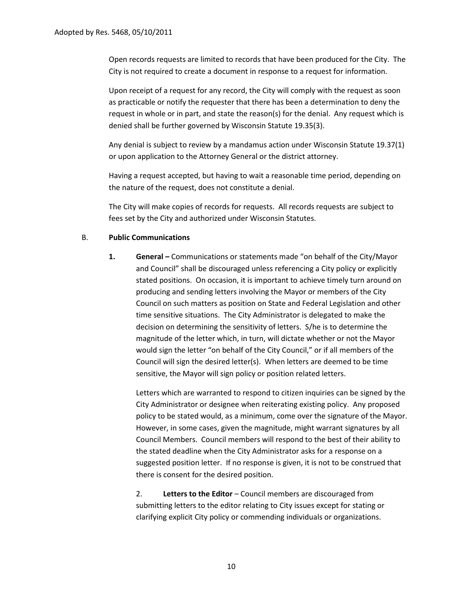Open records requests are limited to records that have been produced for the City. The City is not required to create a document in response to a request for information.

Upon receipt of a request for any record, the City will comply with the request as soon as practicable or notify the requester that there has been a determination to deny the request in whole or in part, and state the reason(s) for the denial. Any request which is denied shall be further governed by Wisconsin Statute 19.35(3).

Any denial is subject to review by a mandamus action under Wisconsin Statute 19.37(1) or upon application to the Attorney General or the district attorney.

Having a request accepted, but having to wait a reasonable time period, depending on the nature of the request, does not constitute a denial.

The City will make copies of records for requests. All records requests are subject to fees set by the City and authorized under Wisconsin Statutes.

#### B. **Public Communications**

**1. General –** Communications or statements made "on behalf of the City/Mayor and Council" shall be discouraged unless referencing a City policy or explicitly stated positions. On occasion, it is important to achieve timely turn around on producing and sending letters involving the Mayor or members of the City Council on such matters as position on State and Federal Legislation and other time sensitive situations. The City Administrator is delegated to make the decision on determining the sensitivity of letters. S/he is to determine the magnitude of the letter which, in turn, will dictate whether or not the Mayor would sign the letter "on behalf of the City Council," or if all members of the Council will sign the desired letter(s). When letters are deemed to be time sensitive, the Mayor will sign policy or position related letters.

Letters which are warranted to respond to citizen inquiries can be signed by the City Administrator or designee when reiterating existing policy. Any proposed policy to be stated would, as a minimum, come over the signature of the Mayor. However, in some cases, given the magnitude, might warrant signatures by all Council Members. Council members will respond to the best of their ability to the stated deadline when the City Administrator asks for a response on a suggested position letter. If no response is given, it is not to be construed that there is consent for the desired position.

2. **Letters to the Editor** – Council members are discouraged from submitting letters to the editor relating to City issues except for stating or clarifying explicit City policy or commending individuals or organizations.